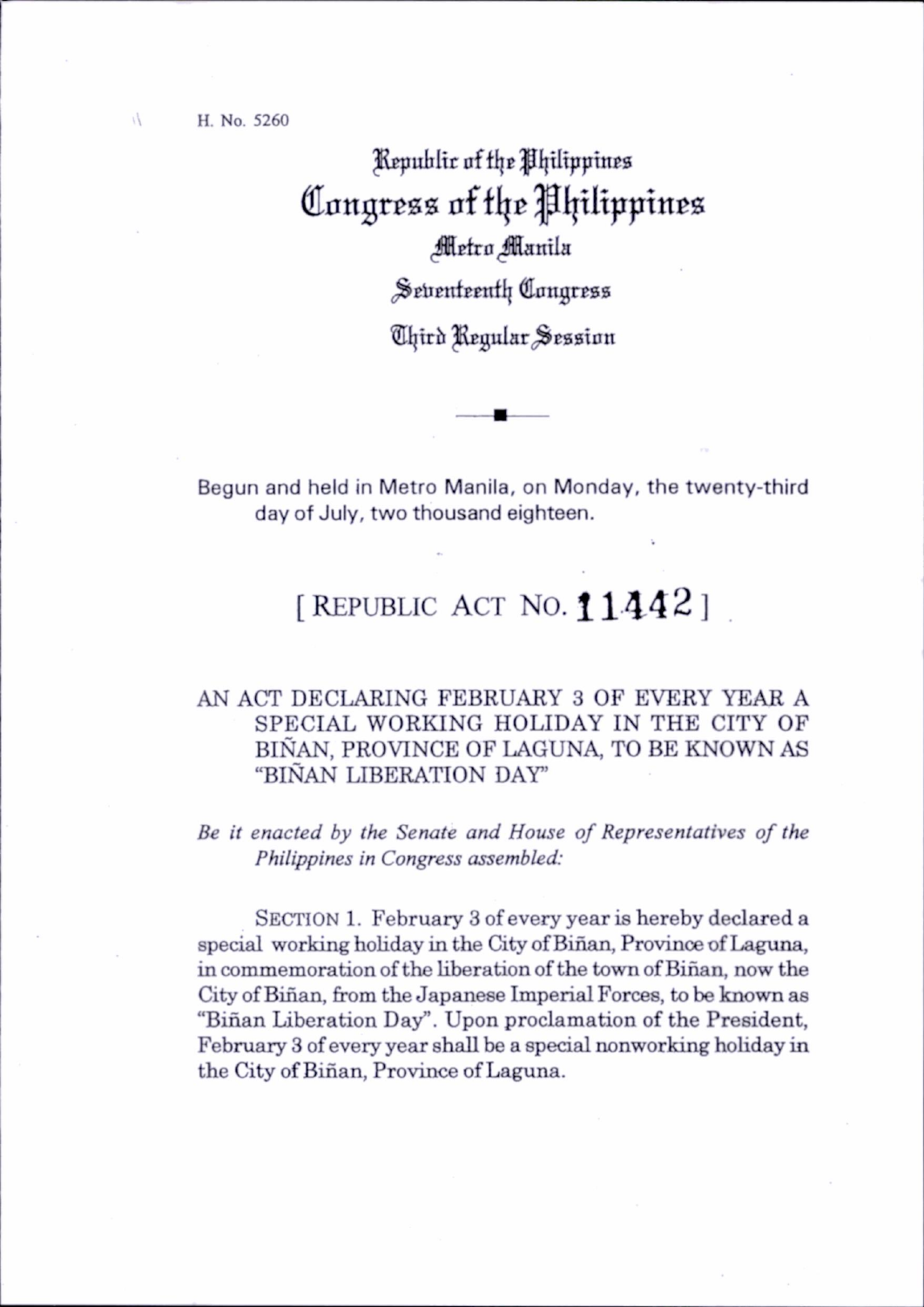## ^Rcpuliltr of ti\e y I|tIippinE8 Congress of the Philippines Metro Manila

Seventeenth Congress

Third Regular Session

Begun and held in Metro Manila, on Monday, the twenty-third day of July, two thousand eighteen.

## [REPUBLIC ACT NO.  $11442$ ]

## AN ACT DECLARING FEBRUARY 3 OF EVERY YEAR A SPECIAL WORKING HOLIDAY IN THE CITY OF BINAN, PROVINCE OF LAGUNA, TO BE KNOWN AS "BINAN LIBERATION DAY'

Be it enacted by the Senate and House of Representatives of the Philippines in Congress assembled:

SECTION 1. February 3 of every year is hereby declared a special working holiday in the City of Biñan, Province of Laguna, in commemoration of the liberation of the town of Binan, now the City of Binan, from the Japanese Imperial Forces, to be known as "Binan Liberation Day". Upon proclamation of the President, February 3 of every year shall be a special nonworking hohday in the City of Binan, Province of Laguna.